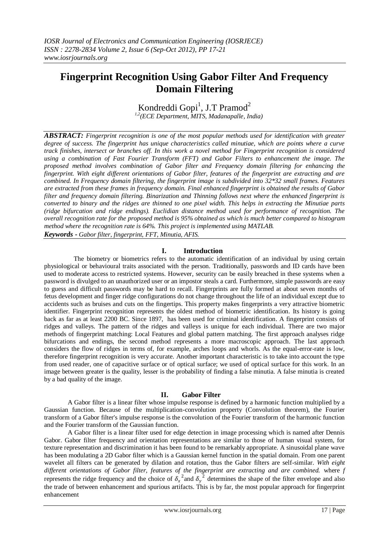# **Fingerprint Recognition Using Gabor Filter And Frequency Domain Filtering**

Kondreddi Gopi<sup>1</sup>, J.T Pramod<sup>2</sup> *1,2(ECE Department, MITS, Madanapalle, India)*

*ABSTRACT: Fingerprint recognition is one of the most popular methods used for identification with greater*  degree of success. The fingerprint has unique characteristics called minutiae, which are points where a curve *track finishes, intersect or branches off. In this work a novel method for Fingerprint recognition is considered using a combination of Fast Fourier Transform (FFT) and Gabor Filters to enhancement the image. The proposed method involves combination of Gabor filter and Frequency domain filtering for enhancing the fingerprint. With eight different orientations of Gabor filter, features of the fingerprint are extracting and are combined. In Frequency domain filtering, the fingerprint image is subdivided into 32\*32 small frames. Features are extracted from these frames in frequency domain. Final enhanced fingerprint is obtained the results of Gabor filter and frequency domain filtering. Binarization and Thinning follows next where the enhanced fingerprint is converted to binary and the ridges are thinned to one pixel width. This helps in extracting the Minutiae parts (ridge bifurcation and ridge endings). Euclidian distance method used for performance of recognition. The overall recognition rate for the proposed method is 95% obtained as which is much better compared to histogram method where the recognition rate is 64%. This project is implemented using MATLAB.*

*Keywords - Gabor filter, fingerprint, FFT, Minutia, AFIS.*

### **I. Introduction**

The biometry or biometrics refers to the automatic identification of an individual by using certain physiological or behavioural traits associated with the person. Traditionally, passwords and ID cards have been used to moderate access to restricted systems. However, security can be easily breached in these systems when a password is divulged to an unauthorized user or an impostor steals a card. Furthermore, simple passwords are easy to guess and difficult passwords may be hard to recall. Fingerprints are fully formed at about seven months of fetus development and finger ridge configurations do not change throughout the life of an individual except due to accidents such as bruises and cuts on the fingertips. This property makes fingerprints a very attractive biometric identifier. Fingerprint recognition represents the oldest method of biometric identification. Its history is going back as far as at least 2200 BC. Since 1897, has been used for criminal identification. A fingerprint consists of ridges and valleys. The pattern of the ridges and valleys is unique for each individual. There are two major methods of fingerprint matching: Local Features and global pattern matching. The first approach analyses ridge bifurcations and endings, the second method represents a more macroscopic approach. The last approach considers the flow of ridges in terms of, for example, arches loops and whorls. As the equal-error-rate is low, therefore fingerprint recognition is very accurate. Another important characteristic is to take into account the type from used reader, one of capacitive surface or of optical surface; we used of optical surface for this work. In an image between greater is the quality, lesser is the probability of finding a false minutia. A false minutia is created by a bad quality of the image.

## **II. Gabor Filter**

A Gabor filter is a linear filter whose impulse response is defined by a harmonic function multiplied by a Gaussian function. Because of the multiplication-convolution property (Convolution theorem), the Fourier transform of a Gabor filter's impulse response is the convolution of the Fourier transform of the harmonic function and the Fourier transform of the Gaussian function.

A Gabor filter is a linear filter used for edge detection in image processing which is named after Dennis Gabor. Gabor filter frequency and orientation representations are similar to those of human visual system, for texture representation and discrimination it has been found to be remarkably appropriate. A sinusoidal plane wave has been modulating a 2D Gabor filter which is a Gaussian kernel function in the spatial domain. From one parent wavelet all filters can be generated by dilation and rotation, thus the Gabor filters are self-similar. *With eight different orientations of Gabor filter, features of the fingerprint are extracting and are combined.* where *f*  represents the ridge frequency and the choice of  $\delta_x^2$  and  $\delta_y^2$  determines the shape of the filter envelope and also the trade of between enhancement and spurious artifacts. This is by far, the most popular approach for fingerprint enhancement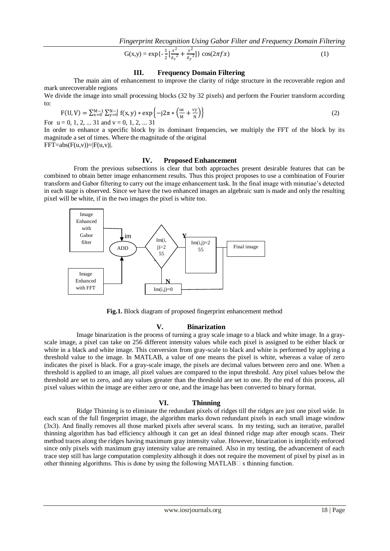$$
G(x,y) = \exp\{-\frac{1}{2}\left[\frac{x^2}{\delta_x^2} + \frac{y^2}{\delta_y^2}\right]\}\cos(2\pi f x)
$$
 (1)

# **III. Frequency Domain Filtering**

The main aim of enhancement to improve the clarity of ridge structure in the recoverable region and mark unrecoverable regions

We divide the image into small processing blocks (32 by 32 pixels) and perform the Fourier transform according to:

$$
F(U, V) = \sum_{x=0}^{M-1} \sum_{y=0}^{N-1} f(x, y) * \exp\{-j2\pi * \left(\frac{ux}{M} + \frac{vy}{N}\right)\}
$$
(2)

For  $u = 0, 1, 2, ... 31$  and  $v = 0, 1, 2, ... 31$ 

In order to enhance a specific block by its dominant frequencies, we multiply the FFT of the block by its magnitude a set of times. Where the magnitude of the original  $FFT=abs(F(u,v))=|F(u,v)|.$ 

## **IV. Proposed Enhancement**

From the previous subsections is clear that both approaches present desirable features that can be combined to obtain better image enhancement results. Thus this project proposes to use a combination of Fourier transform and Gabor filtering to carry out the image enhancement task. In the final image with minutiae"s detected in each stage is observed. Since we have the two enhanced images an algebraic sum is made and only the resulting pixel will be white, if in the two images the pixel is white too.



Fig.1. Block diagram of proposed fingerprint enhancement method

#### **V. Binarization**

Image binarization is the process of turning a gray scale image to a black and white image. In a grayscale image, a pixel can take on 256 different intensity values while each pixel is assigned to be either black or white in a black and white image. This conversion from gray-scale to black and white is performed by applying a threshold value to the image. In MATLAB, a value of one means the pixel is white, whereas a value of zero indicates the pixel is black. For a gray-scale image, the pixels are decimal values between zero and one. When a threshold is applied to an image, all pixel values are compared to the input threshold. Any pixel values below the threshold are set to zero, and any values greater than the threshold are set to one. By the end of this process, all pixel values within the image are either zero or one, and the image has been converted to binary format.

# **VI. Thinning**

Ridge Thinning is to eliminate the redundant pixels of ridges till the ridges are just one pixel wide. In each scan of the full fingerprint image, the algorithm marks down redundant pixels in each small image window (3x3). And finally removes all those marked pixels after several scans. In my testing, such an iterative, parallel thinning algorithm has bad efficiency although it can get an ideal thinned ridge map after enough scans. Their method traces along the ridges having maximum gray intensity value. However, binarization is implicitly enforced since only pixels with maximum gray intensity value are remained. Also in my testing, the advancement of each trace step still has large computation complexity although it does not require the movement of pixel by pixel as in other thinning algorithms. This is done by using the following MATLAB $\Box$  s thinning function.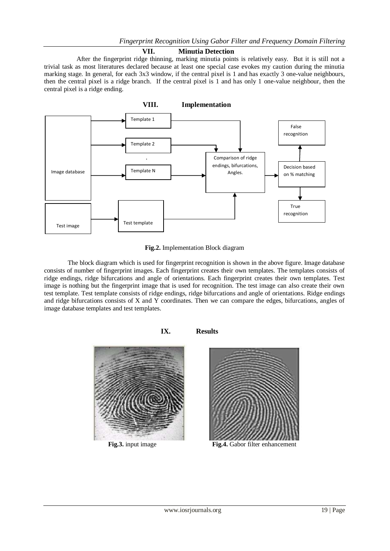# **VII. Minutia Detection**

After the fingerprint ridge thinning, marking minutia points is relatively easy. But it is still not a trivial task as most literatures declared because at least one special case evokes my caution during the minutia marking stage. In general, for each 3x3 window, if the central pixel is 1 and has exactly 3 one-value neighbours, then the central pixel is a ridge branch. If the central pixel is 1 and has only 1 one-value neighbour, then the central pixel is a ridge ending.



**Fig.2.** Implementation Block diagram

The block diagram which is used for fingerprint recognition is shown in the above figure. Image database consists of number of fingerprint images. Each fingerprint creates their own templates. The templates consists of ridge endings, ridge bifurcations and angle of orientations. Each fingerprint creates their own templates. Test image is nothing but the fingerprint image that is used for recognition. The test image can also create their own test template. Test template consists of ridge endings, ridge bifurcations and angle of orientations. Ridge endings and ridge bifurcations consists of X and Y coordinates. Then we can compare the edges, bifurcations, angles of image database templates and test templates.



**Fig.3.** input image **Fig.4.** Gabor filter enhancement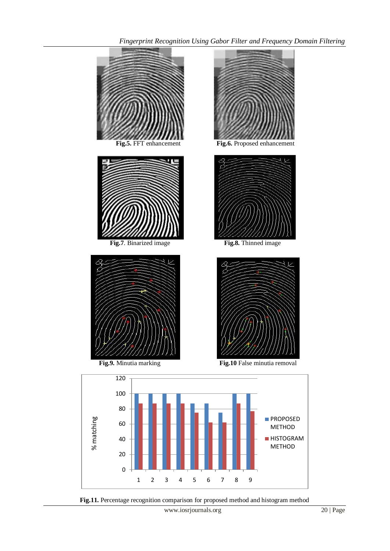